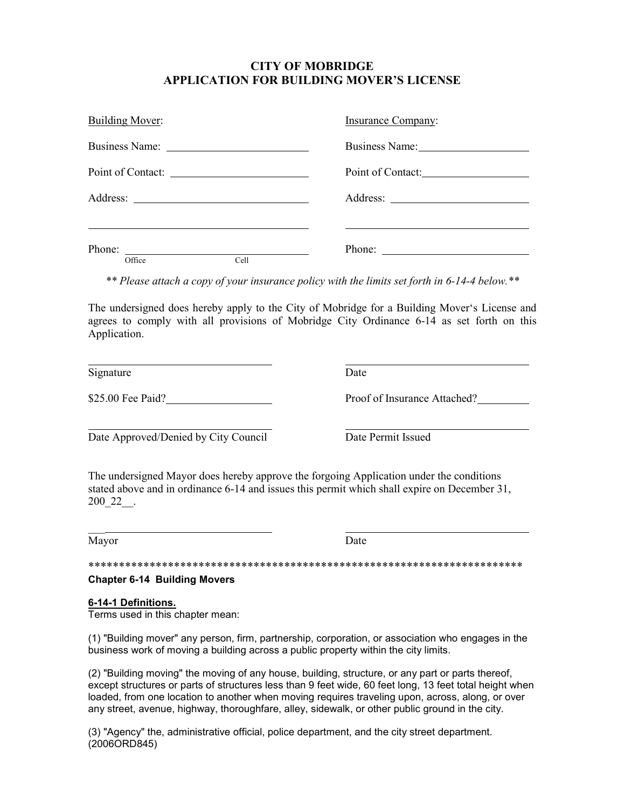# **CITY OF MOBRIDGE APPLICATION FOR BUILDING MOVER'S LICENSE**

| <b>Building Mover:</b>                                                                                                                            | <b>Insurance Company:</b> |
|---------------------------------------------------------------------------------------------------------------------------------------------------|---------------------------|
|                                                                                                                                                   | Business Name: 1988       |
| Point of Contact:                                                                                                                                 | Point of Contact:         |
|                                                                                                                                                   |                           |
|                                                                                                                                                   |                           |
| Phone:<br><u> 1989 - Johann Barbara, martin amerikan basal dan berasal dalam basal dalam basal dalam basal dalam basal dala</u><br>Cell<br>Office |                           |

*\*\* Please attach a copy of your insurance policy with the limits set forth in 6-14-4 below.\*\** 

The undersigned does hereby apply to the City of Mobridge for a Building Mover's License and agrees to comply with all provisions of Mobridge City Ordinance 6-14 as set forth on this Application.

Signature Date

\$25.00 Fee Paid?
Same Paid:
Same Proof of Insurance Attached?
Proof of Insurance Attached?
Same Paid:
Same Paid:
Same Paid:
Same Paid:
Same Paid:
Same Paid:
Same Paid:
Same Paid:
Same Paid:
Same Paid:
Same Paid:
Same Paid:

Date Approved/Denied by City Council Date Permit Issued

The undersigned Mayor does hereby approve the forgoing Application under the conditions stated above and in ordinance 6-14 and issues this permit which shall expire on December 31, 200\_22\_\_.

 $\overline{a}$ Mayor Date

\*\*\*\*\*\*\*\*\*\*\*\*\*\*\*\*\*\*\*\*\*\*\*\*\*\*\*\*\*\*\*\*\*\*\*\*\*\*\*\*\*\*\*\*\*\*\*\*\*\*\*\*\*\*\*\*\*\*\*\*\*\*\*\*\*\*\*\*\*\*\*

### **Chapter 6-14 Building Movers**

### **6-14-1 Definitions.**

Terms used in this chapter mean:

(1) "Building mover" any person, firm, partnership, corporation, or association who engages in the business work of moving a building across a public property within the city limits.

(2) "Building moving" the moving of any house, building, structure, or any part or parts thereof, except structures or parts of structures less than 9 feet wide, 60 feet long, 13 feet total height when loaded, from one location to another when moving requires traveling upon, across, along, or over any street, avenue, highway, thoroughfare, alley, sidewalk, or other public ground in the city.

(3) "Agency" the, administrative official, police department, and the city street department. (2006ORD845)